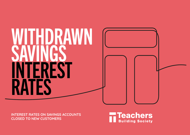# WITHDRAWN SAVINGS INTEREST RATES

**INTEREST RATES ON SAVINGS ACCOUNTS CLOSED TO NEW CUSTOMERS**

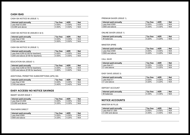# **CASH ISAS**

# CASH ISA NOTICE 90 (ISSUE 1)

| Interest paid annually | Tax free | AER   | <b>Net</b> |
|------------------------|----------|-------|------------|
| Less than $£3.000$     | 0.05%    | 0.05% | N/A        |
| E3.000 and above       | $0.50\%$ | 0.50% | N/A        |

# CASH ISA NOTICE 90 (ISSUES 4 & 5)

| Interest paid annually | Tax free | AER      | Net |
|------------------------|----------|----------|-----|
| Less than $£100$       | 0.05%    | $0.05\%$ | N/A |
| £100 and above         | 0.50%    | 0.50%    | N/A |

## CASH ISA NOTICE 30 (ISSUE 1)

| Interest paid annually             | <b>Tax free</b> | AER   | Net |
|------------------------------------|-----------------|-------|-----|
| Less than £250 (£100 for teachers) | 0.05%           | 0.05% | N/A |
| E250 and above (£100 for teachers) | $0.55\%$        | 0.55% | N/A |

## EDUCATION ISA (ISSUE 1)

| Interest paid annually             | Tax free | AER      | <b>Net</b> |
|------------------------------------|----------|----------|------------|
| Less than £250 (£100 for teachers) | 0.05%    | 0.05%    | N/A        |
| £250 and above (£100 for teachers) | 0.60%    | $0.60\%$ | N/A        |

## ADDITIONAL PERMITTED SUBSCRIPTIONS (APS) ISA

| Interest paid annually | Tax free | AER      | <b>Net</b> |
|------------------------|----------|----------|------------|
| Less than $£100$       | 0.05%    | 0.05%    | N/A        |
| E100 and above         | 0.40%    | $0.40\%$ | N/A        |

# **EASY ACCESS/ NO NOTICE SAVINGS**

#### SMART SAVER ISSUE 1

| Interest paid annually | Tax free | AER      | <b>Net</b> |
|------------------------|----------|----------|------------|
| Less than $£3.000$     | 0.05%    | $0.05\%$ | N/A        |
| £3,000 and above       | 0.35%    | 0.35%    | N/A        |

#### TEACHERS DIRECT

| Interest paid annually | Tax free | AER   | <b>Net</b> |
|------------------------|----------|-------|------------|
| Less than £500         | 0.05%    | 0.05% | N/A        |
| £500 and above         | 0.25%    | 0.25% | N/A        |

# PREMIUM SAVER (ISSUE 1)

| Interest paid annually | Tax free | AER   | <b>Net</b> |
|------------------------|----------|-------|------------|
| Less than £500         | $0.05\%$ | 0.05% | N/A        |
| £500 and above         | $0.30\%$ | 0.30% | N/A        |

# ONLINE SAVER (ISSUE 1)

| Interest paid annually | ax<br>tree | <b>AER</b> | <b>Net</b> |
|------------------------|------------|------------|------------|
| All<br>balances        | 0.20%      | 0.20%      | N/A        |

#### MINSTER SPIRE

| Interest paid annually | <b>Tax free</b> | AER   | <b>Net</b> |
|------------------------|-----------------|-------|------------|
| Less than £500         | 0.05%           | 0.05% | N/A        |
| £500 and above         | 0.20%           | 0.20% | N/A        |

#### CALL SAVE

| Interest paid annually | Tax free | AER   | <b>Net</b> |
|------------------------|----------|-------|------------|
| Less than $£1$         | 0.05%    | 0.05% | N/A        |
| £1 and above           | 0.25%    | 0.25% | N/A        |

# EASY SAVE (ISSUE 3)

| Interest paid annually | Tax free | AER   | <b>Net</b> |
|------------------------|----------|-------|------------|
| Less than £1           | 0.05%    | 0.05% | N/A        |
| £1 and above           | 0.20%    | 0.20% | N/A        |

#### DEPOSIT ACCOUNT

| Interest paid annually | tree<br>ax | <b>AER</b> | <b>Net</b> |
|------------------------|------------|------------|------------|
| All balances           | 0.35%      | 0.35%      | N/A        |

# **NOTICE ACCOUNTS**

#### MINSTER 90 PLUS

| Interest paid annually | Tax free | AER   | Net |
|------------------------|----------|-------|-----|
| Less than $£1.000$     | 0.05%    | 0.05% | N/A |
| £1,000 and above       | 0.45%    | 0.45% | N/A |